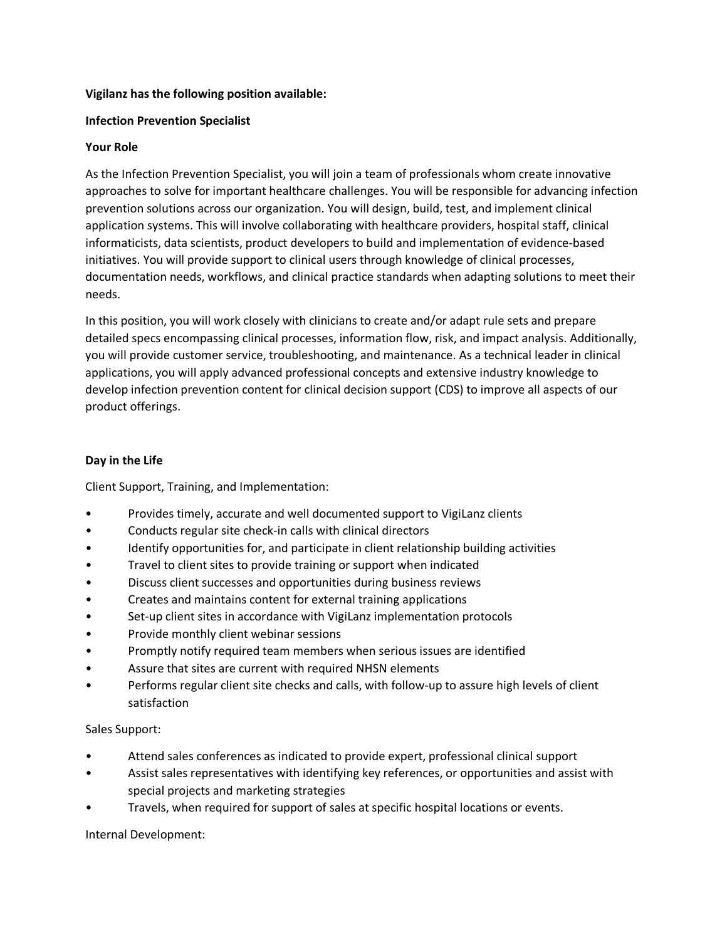### **Vigilanz has the following position available:**

## **Infection Prevention Specialist**

## **Your Role**

As the Infection Prevention Specialist, you will join a team of professionals whom create innovative approaches to solve for important healthcare challenges. You will be responsible for advancing infection prevention solutions across our organization. You will design, build, test, and implement clinical application systems. This will involve collaborating with healthcare providers, hospital staff, clinical informaticists, data scientists, product developers to build and implementation of evidence-based initiatives. You will provide support to clinical users through knowledge of clinical processes, documentation needs, workflows, and clinical practice standards when adapting solutions to meet their needs.

In this position, you will work closely with clinicians to create and/or adapt rule sets and prepare detailed specs encompassing clinical processes, information flow, risk, and impact analysis. Additionally, you will provide customer service, troubleshooting, and maintenance. As a technical leader in clinical applications, you will apply advanced professional concepts and extensive industry knowledge to develop infection prevention content for clinical decision support (CDS) to improve all aspects of our product offerings.

# **Day in the Life**

Client Support, Training, and Implementation:

- Provides timely, accurate and well documented support to VigiLanz clients
- Conducts regular site check-in calls with clinical directors
- Identify opportunities for, and participate in client relationship building activities
- Travel to client sites to provide training or support when indicated
- Discuss client successes and opportunities during business reviews
- Creates and maintains content for external training applications
- Set-up client sites in accordance with VigiLanz implementation protocols
- Provide monthly client webinar sessions
- Promptly notify required team members when serious issues are identified
- Assure that sites are current with required NHSN elements
- Performs regular client site checks and calls, with follow-up to assure high levels of client satisfaction

Sales Support:

- Attend sales conferences as indicated to provide expert, professional clinical support
- Assist sales representatives with identifying key references, or opportunities and assist with special projects and marketing strategies
- Travels, when required for support of sales at specific hospital locations or events.

Internal Development: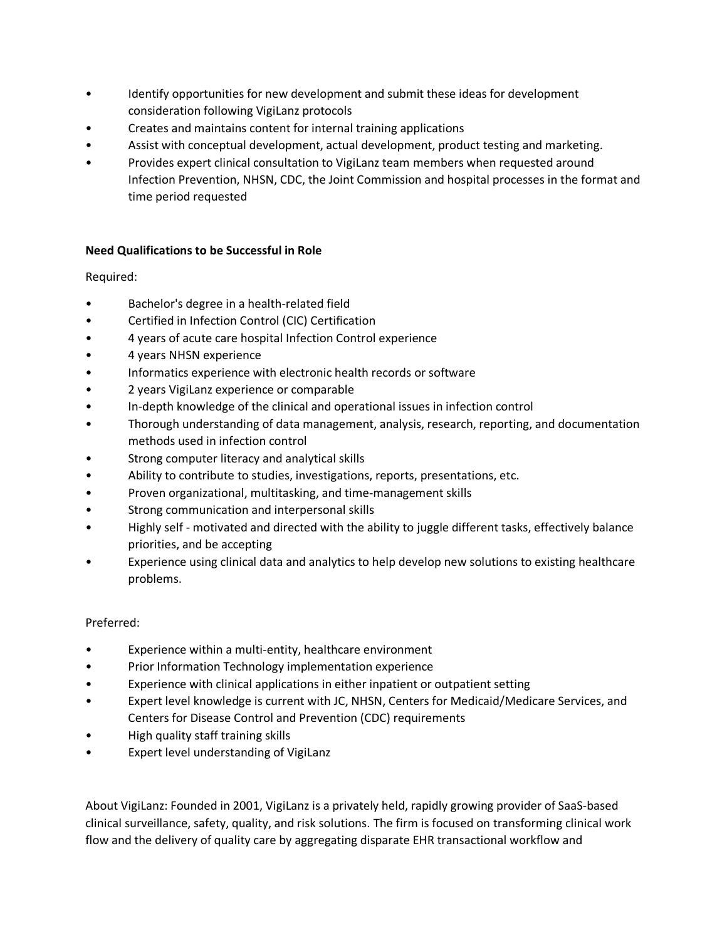- Identify opportunities for new development and submit these ideas for development consideration following VigiLanz protocols
- Creates and maintains content for internal training applications
- Assist with conceptual development, actual development, product testing and marketing.
- Provides expert clinical consultation to VigiLanz team members when requested around Infection Prevention, NHSN, CDC, the Joint Commission and hospital processes in the format and time period requested

# **Need Qualifications to be Successful in Role**

Required:

- Bachelor's degree in a health-related field
- Certified in Infection Control (CIC) Certification
- 4 years of acute care hospital Infection Control experience
- 4 years NHSN experience
- Informatics experience with electronic health records or software
- 2 years VigiLanz experience or comparable
- In-depth knowledge of the clinical and operational issues in infection control
- Thorough understanding of data management, analysis, research, reporting, and documentation methods used in infection control
- Strong computer literacy and analytical skills
- Ability to contribute to studies, investigations, reports, presentations, etc.
- Proven organizational, multitasking, and time-management skills
- Strong communication and interpersonal skills
- Highly self motivated and directed with the ability to juggle different tasks, effectively balance priorities, and be accepting
- Experience using clinical data and analytics to help develop new solutions to existing healthcare problems.

#### Preferred:

- Experience within a multi-entity, healthcare environment
- Prior Information Technology implementation experience
- Experience with clinical applications in either inpatient or outpatient setting
- Expert level knowledge is current with JC, NHSN, Centers for Medicaid/Medicare Services, and Centers for Disease Control and Prevention (CDC) requirements
- High quality staff training skills
- Expert level understanding of VigiLanz

About VigiLanz: Founded in 2001, VigiLanz is a privately held, rapidly growing provider of SaaS-based clinical surveillance, safety, quality, and risk solutions. The firm is focused on transforming clinical work flow and the delivery of quality care by aggregating disparate EHR transactional workflow and